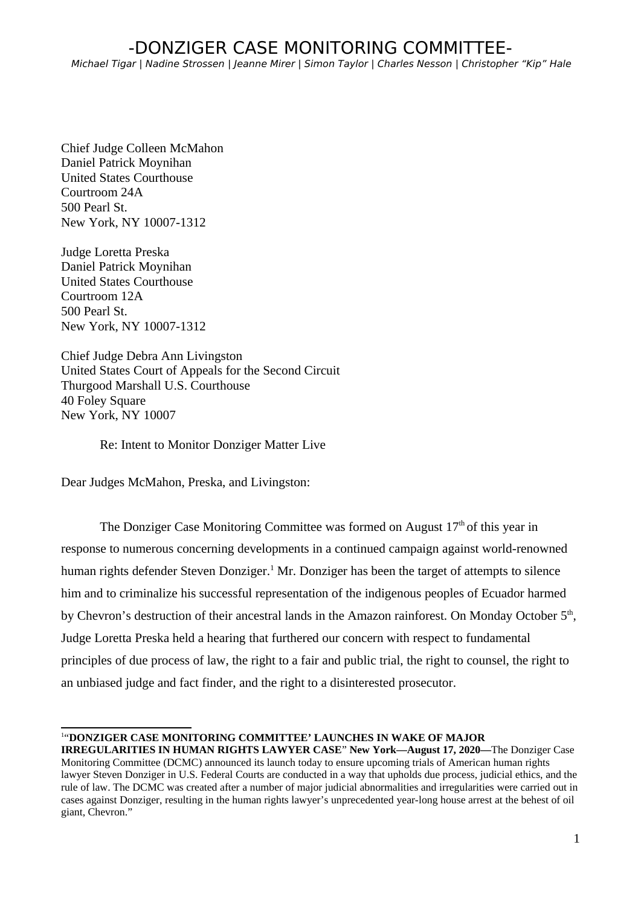Chief Judge Colleen McMahon Daniel Patrick Moynihan United States Courthouse Courtroom 24A 500 Pearl St. New York, NY 10007-1312

Judge Loretta Preska Daniel Patrick Moynihan United States Courthouse Courtroom 12A 500 Pearl St. New York, NY 10007-1312

Chief Judge Debra Ann Livingston United States Court of Appeals for the Second Circuit Thurgood Marshall U.S. Courthouse 40 Foley Square New York, NY 10007

Re: Intent to Monitor Donziger Matter Live

Dear Judges McMahon, Preska, and Livingston:

The Donziger Case Monitoring Committee was formed on August  $17<sup>th</sup>$  of this year in response to numerous concerning developments in a continued campaign against world-renowned human rights defender Steven Donziger.<sup>[1](#page-0-0)</sup> Mr. Donziger has been the target of attempts to silence him and to criminalize his successful representation of the indigenous peoples of Ecuador harmed by Chevron's destruction of their ancestral lands in the Amazon rainforest. On Monday October 5<sup>th</sup>, Judge Loretta Preska held a hearing that furthered our concern with respect to fundamental principles of due process of law, the right to a fair and public trial, the right to counsel, the right to an unbiased judge and fact finder, and the right to a disinterested prosecutor.

<span id="page-0-0"></span>1 "**DONZIGER CASE MONITORING COMMITTEE' LAUNCHES IN WAKE OF MAJOR** 

**IRREGULARITIES IN HUMAN RIGHTS LAWYER CASE**" **New York—August 17, 2020—**The Donziger Case Monitoring Committee (DCMC) announced its launch today to ensure upcoming trials of American human rights lawyer Steven Donziger in U.S. Federal Courts are conducted in a way that upholds due process, judicial ethics, and the rule of law. The DCMC was created after a number of major judicial abnormalities and irregularities were carried out in cases against Donziger, resulting in the human rights lawyer's unprecedented year-long house arrest at the behest of oil giant, Chevron."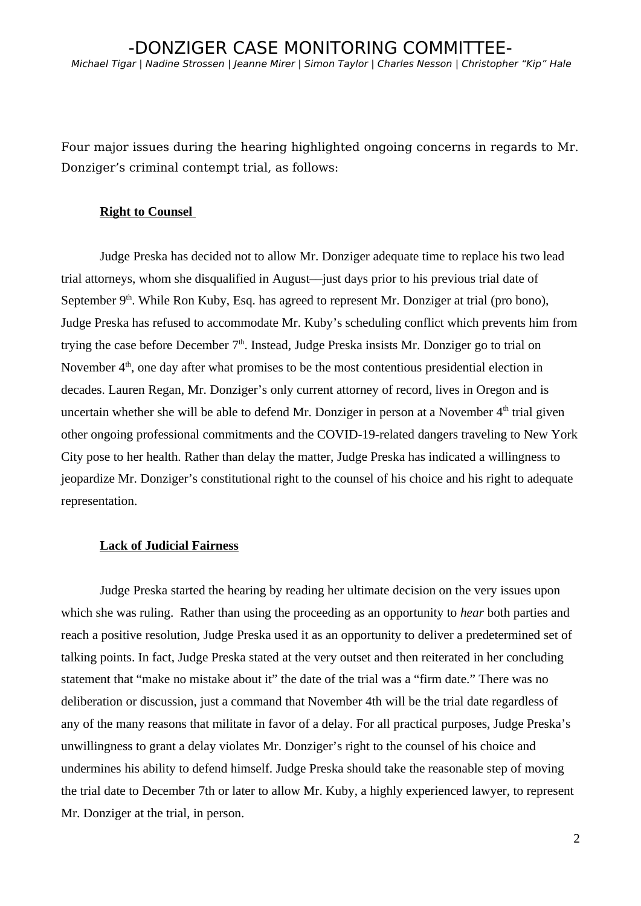Four major issues during the hearing highlighted ongoing concerns in regards to Mr. Donziger's criminal contempt trial, as follows:

#### **Right to Counsel**

Judge Preska has decided not to allow Mr. Donziger adequate time to replace his two lead trial attorneys, whom she disqualified in August––just days prior to his previous trial date of September 9<sup>th</sup>. While Ron Kuby, Esq. has agreed to represent Mr. Donziger at trial (pro bono), Judge Preska has refused to accommodate Mr. Kuby's scheduling conflict which prevents him from trying the case before December  $7<sup>th</sup>$ . Instead, Judge Preska insists Mr. Donziger go to trial on November  $4<sup>th</sup>$ , one day after what promises to be the most contentious presidential election in decades. Lauren Regan, Mr. Donziger's only current attorney of record, lives in Oregon and is uncertain whether she will be able to defend Mr. Donziger in person at a November  $4<sup>th</sup>$  trial given other ongoing professional commitments and the COVID-19-related dangers traveling to New York City pose to her health. Rather than delay the matter, Judge Preska has indicated a willingness to jeopardize Mr. Donziger's constitutional right to the counsel of his choice and his right to adequate representation.

## **Lack of Judicial Fairness**

Judge Preska started the hearing by reading her ultimate decision on the very issues upon which she was ruling. Rather than using the proceeding as an opportunity to *hear* both parties and reach a positive resolution, Judge Preska used it as an opportunity to deliver a predetermined set of talking points. In fact, Judge Preska stated at the very outset and then reiterated in her concluding statement that "make no mistake about it" the date of the trial was a "firm date." There was no deliberation or discussion, just a command that November 4th will be the trial date regardless of any of the many reasons that militate in favor of a delay. For all practical purposes, Judge Preska's unwillingness to grant a delay violates Mr. Donziger's right to the counsel of his choice and undermines his ability to defend himself. Judge Preska should take the reasonable step of moving the trial date to December 7th or later to allow Mr. Kuby, a highly experienced lawyer, to represent Mr. Donziger at the trial, in person.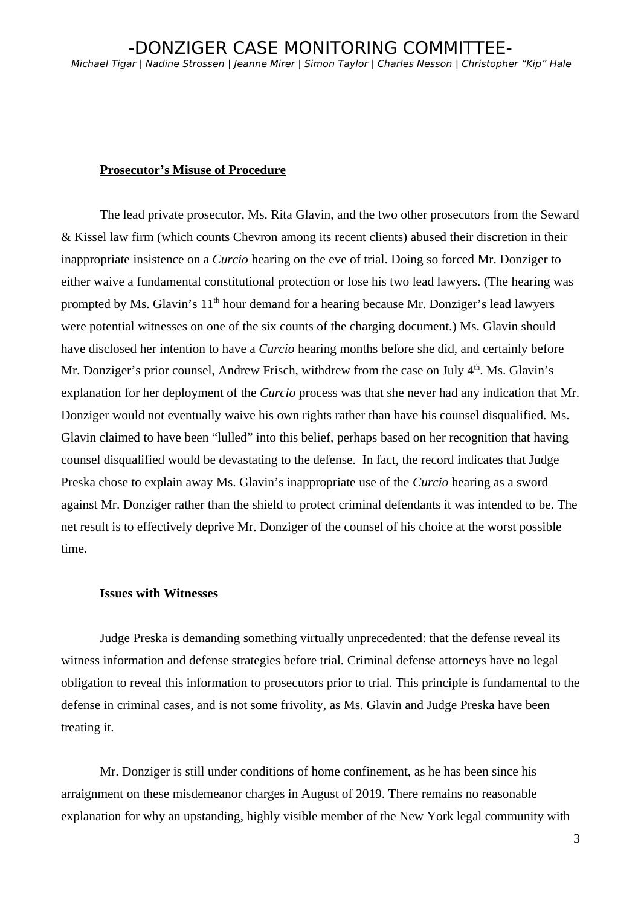#### **Prosecutor's Misuse of Procedure**

The lead private prosecutor, Ms. Rita Glavin, and the two other prosecutors from the Seward & Kissel law firm (which counts Chevron among its recent clients) abused their discretion in their inappropriate insistence on a *Curcio* hearing on the eve of trial. Doing so forced Mr. Donziger to either waive a fundamental constitutional protection or lose his two lead lawyers. (The hearing was prompted by Ms. Glavin's 11<sup>th</sup> hour demand for a hearing because Mr. Donziger's lead lawyers were potential witnesses on one of the six counts of the charging document.) Ms. Glavin should have disclosed her intention to have a *Curcio* hearing months before she did, and certainly before Mr. Donziger's prior counsel, Andrew Frisch, withdrew from the case on July  $4<sup>th</sup>$ . Ms. Glavin's explanation for her deployment of the *Curcio* process was that she never had any indication that Mr. Donziger would not eventually waive his own rights rather than have his counsel disqualified. Ms. Glavin claimed to have been "lulled" into this belief, perhaps based on her recognition that having counsel disqualified would be devastating to the defense. In fact, the record indicates that Judge Preska chose to explain away Ms. Glavin's inappropriate use of the *Curcio* hearing as a sword against Mr. Donziger rather than the shield to protect criminal defendants it was intended to be. The net result is to effectively deprive Mr. Donziger of the counsel of his choice at the worst possible time.

## **Issues with Witnesses**

Judge Preska is demanding something virtually unprecedented: that the defense reveal its witness information and defense strategies before trial. Criminal defense attorneys have no legal obligation to reveal this information to prosecutors prior to trial. This principle is fundamental to the defense in criminal cases, and is not some frivolity, as Ms. Glavin and Judge Preska have been treating it.

Mr. Donziger is still under conditions of home confinement, as he has been since his arraignment on these misdemeanor charges in August of 2019. There remains no reasonable explanation for why an upstanding, highly visible member of the New York legal community with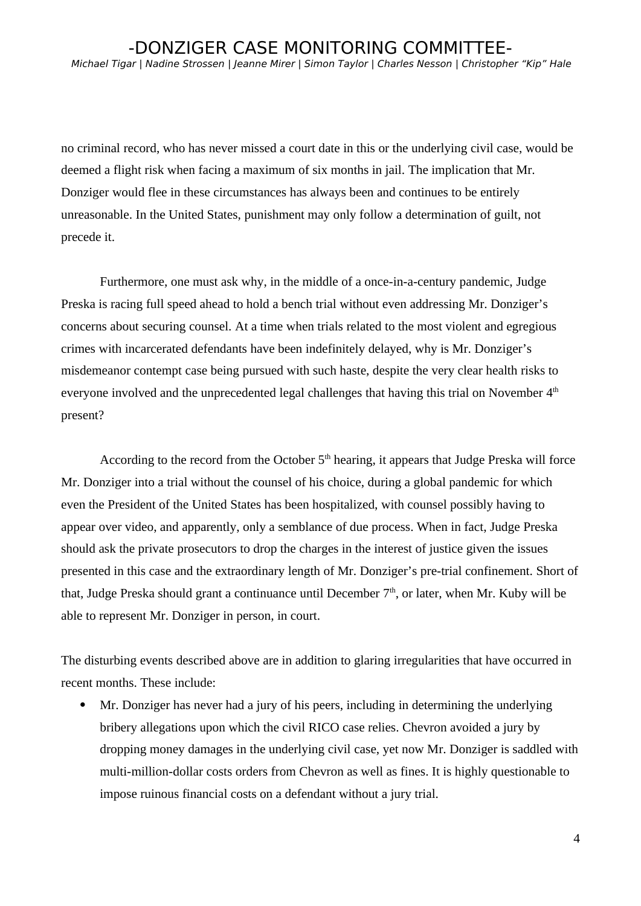no criminal record, who has never missed a court date in this or the underlying civil case, would be deemed a flight risk when facing a maximum of six months in jail. The implication that Mr. Donziger would flee in these circumstances has always been and continues to be entirely unreasonable. In the United States, punishment may only follow a determination of guilt, not precede it.

Furthermore, one must ask why, in the middle of a once-in-a-century pandemic, Judge Preska is racing full speed ahead to hold a bench trial without even addressing Mr. Donziger's concerns about securing counsel. At a time when trials related to the most violent and egregious crimes with incarcerated defendants have been indefinitely delayed, why is Mr. Donziger's misdemeanor contempt case being pursued with such haste, despite the very clear health risks to everyone involved and the unprecedented legal challenges that having this trial on November  $4<sup>th</sup>$ present?

According to the record from the October  $5<sup>th</sup>$  hearing, it appears that Judge Preska will force Mr. Donziger into a trial without the counsel of his choice, during a global pandemic for which even the President of the United States has been hospitalized, with counsel possibly having to appear over video, and apparently, only a semblance of due process. When in fact, Judge Preska should ask the private prosecutors to drop the charges in the interest of justice given the issues presented in this case and the extraordinary length of Mr. Donziger's pre-trial confinement. Short of that, Judge Preska should grant a continuance until December  $7<sup>th</sup>$ , or later, when Mr. Kuby will be able to represent Mr. Donziger in person, in court.

The disturbing events described above are in addition to glaring irregularities that have occurred in recent months. These include:

 Mr. Donziger has never had a jury of his peers, including in determining the underlying bribery allegations upon which the civil RICO case relies. Chevron avoided a jury by dropping money damages in the underlying civil case, yet now Mr. Donziger is saddled with multi-million-dollar costs orders from Chevron as well as fines. It is highly questionable to impose ruinous financial costs on a defendant without a jury trial.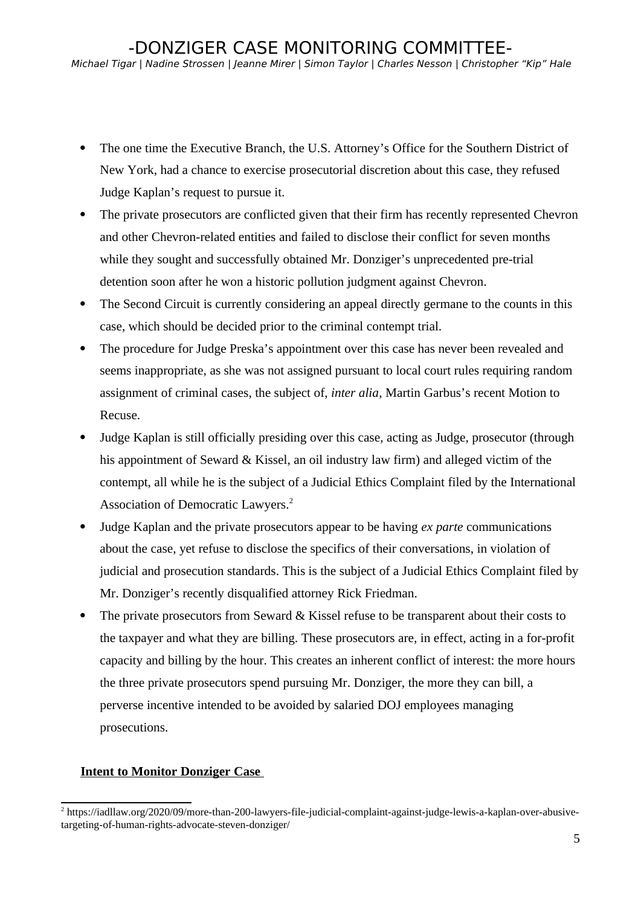- The one time the Executive Branch, the U.S. Attorney's Office for the Southern District of New York, had a chance to exercise prosecutorial discretion about this case, they refused Judge Kaplan's request to pursue it.
- The private prosecutors are conflicted given that their firm has recently represented Chevron and other Chevron-related entities and failed to disclose their conflict for seven months while they sought and successfully obtained Mr. Donziger's unprecedented pre-trial detention soon after he won a historic pollution judgment against Chevron.
- The Second Circuit is currently considering an appeal directly germane to the counts in this case, which should be decided prior to the criminal contempt trial.
- The procedure for Judge Preska's appointment over this case has never been revealed and seems inappropriate, as she was not assigned pursuant to local court rules requiring random assignment of criminal cases, the subject of, *inter alia*, Martin Garbus's recent Motion to Recuse.
- Judge Kaplan is still officially presiding over this case, acting as Judge, prosecutor (through his appointment of Seward & Kissel, an oil industry law firm) and alleged victim of the contempt, all while he is the subject of a Judicial Ethics Complaint filed by the International Association of Democratic Lawyers.<sup>[2](#page-4-0)</sup>
- Judge Kaplan and the private prosecutors appear to be having *ex parte* communications about the case, yet refuse to disclose the specifics of their conversations, in violation of judicial and prosecution standards. This is the subject of a Judicial Ethics Complaint filed by Mr. Donziger's recently disqualified attorney Rick Friedman.
- The private prosecutors from Seward & Kissel refuse to be transparent about their costs to the taxpayer and what they are billing. These prosecutors are, in effect, acting in a for-profit capacity and billing by the hour. This creates an inherent conflict of interest: the more hours the three private prosecutors spend pursuing Mr. Donziger, the more they can bill, a perverse incentive intended to be avoided by salaried DOJ employees managing prosecutions.

# **Intent to Monitor Donziger Case**

<span id="page-4-0"></span><sup>2</sup> https://iadllaw.org/2020/09/more-than-200-lawyers-file-judicial-complaint-against-judge-lewis-a-kaplan-over-abusivetargeting-of-human-rights-advocate-steven-donziger/